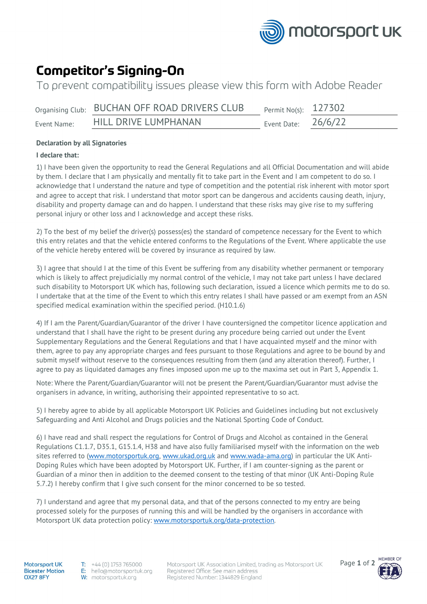

# **Competitor's Signing-On**

To prevent compatibility issues please view this form with Adobe Reader

|             | Organising Club: BUCHAN OFF ROAD DRIVERS CLUB | Permit No(s): $127302$ |  |
|-------------|-----------------------------------------------|------------------------|--|
| Event Name: | HILL DRIVE LUMPHANAN                          | Event Date: $26/6/22$  |  |

## **Declaration by all Signatories**

### **I declare that:**

1) I have been given the opportunity to read the General Regulations and all Official Documentation and will abide by them. I declare that I am physically and mentally fit to take part in the Event and I am competent to do so. I acknowledge that I understand the nature and type of competition and the potential risk inherent with motor sport and agree to accept that risk. I understand that motor sport can be dangerous and accidents causing death, injury, disability and property damage can and do happen. I understand that these risks may give rise to my suffering personal injury or other loss and I acknowledge and accept these risks.

2) To the best of my belief the driver(s) possess(es) the standard of competence necessary for the Event to which this entry relates and that the vehicle entered conforms to the Regulations of the Event. Where applicable the use of the vehicle hereby entered will be covered by insurance as required by law.

3) I agree that should I at the time of this Event be suffering from any disability whether permanent or temporary which is likely to affect prejudicially my normal control of the vehicle, I may not take part unless I have declared such disability to Motorsport UK which has, following such declaration, issued a licence which permits me to do so. I undertake that at the time of the Event to which this entry relates I shall have passed or am exempt from an ASN specified medical examination within the specified period. (H10.1.6)

4) If I am the Parent/Guardian/Guarantor of the driver I have countersigned the competitor licence application and understand that I shall have the right to be present during any procedure being carried out under the Event Supplementary Regulations and the General Regulations and that I have acquainted myself and the minor with them, agree to pay any appropriate charges and fees pursuant to those Regulations and agree to be bound by and submit myself without reserve to the consequences resulting from them (and any alteration thereof). Further, I agree to pay as liquidated damages any fines imposed upon me up to the maxima set out in Part 3, Appendix 1.

Note: Where the Parent/Guardian/Guarantor will not be present the Parent/Guardian/Guarantor must advise the organisers in advance, in writing, authorising their appointed representative to so act.

5) I hereby agree to abide by all applicable Motorsport UK Policies and Guidelines including but not exclusively Safeguarding and Anti Alcohol and Drugs policies and the National Sporting Code of Conduct.

6) I have read and shall respect the regulations for Control of Drugs and Alcohol as contained in the General Regulations C1.1.7, D35.1, G15.1.4, H38 and have also fully familiarised myself with the information on the web sites referred to [\(www.motorsportuk.org,](http://www.motorsportuk.org/) [www.ukad.org.uk](http://www.ukad.org.uk/) and [www.wada-ama.org\)](http://www.wada-ama.org/) in particular the UK Anti-Doping Rules which have been adopted by Motorsport UK. Further, if I am counter-signing as the parent or Guardian of a minor then in addition to the deemed consent to the testing of that minor (UK Anti-Doping Rule 5.7.2) I hereby confirm that I give such consent for the minor concerned to be so tested.

7) I understand and agree that my personal data, and that of the persons connected to my entry are being processed solely for the purposes of running this and will be handled by the organisers in accordance with Motorsport UK data protection policy: [www.motorsportuk.org/data-protection.](http://www.motorsportuk.org/data-protection)